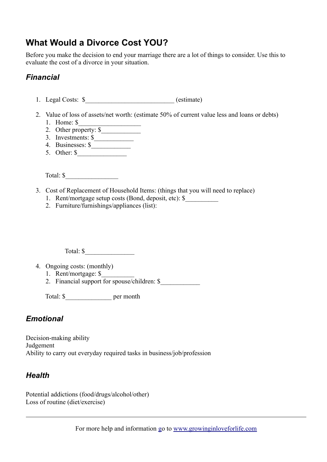# **What Would a Divorce Cost YOU?**

Before you make the decision to end your marriage there are a lot of things to consider. Use this to evaluate the cost of a divorce in your situation.

### *Financial*

- 1. Legal Costs:  $\frac{1}{2}$  (estimate)
- 2. Value of loss of assets/net worth: (estimate 50% of current value less and loans or debts) 1. Home: \$
	- 2. Other property:  $\sqrt{\frac{2}{5}}$
	- $\overline{3}$ . Investments:  $\overline{\S}$
	- 4. Businesses: \$\_\_\_\_\_\_\_\_\_\_\_\_
	- 5. Other: \$\_\_\_\_\_\_\_\_\_\_\_\_\_\_\_

Total: \$

- 3. Cost of Replacement of Household Items: (things that you will need to replace)
	- 1. Rent/mortgage setup costs (Bond, deposit, etc): \$\_\_\_\_\_\_\_\_\_\_
	- 2. Furniture/furnishings/appliances (list):

Total: \$

- 4. Ongoing costs: (monthly)
	- 1. Rent/mortgage: \$\_\_\_\_\_\_\_\_\_\_
	- 2. Financial support for spouse/children:  $\frac{1}{2}$

Total: \$\_\_\_\_\_\_\_\_\_\_\_\_\_\_ per month

#### *Emotional*

Decision-making ability **Judgement** Ability to carry out everyday required tasks in business/job/profession

#### *Health*

Potential addictions (food/drugs/alcohol/other) Loss of routine (diet/exercise)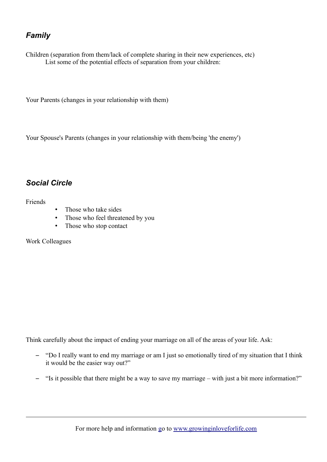# *Family*

Children (separation from them/lack of complete sharing in their new experiences, etc) List some of the potential effects of separation from your children:

Your Parents (changes in your relationship with them)

Your Spouse's Parents (changes in your relationship with them/being 'the enemy')

## *Social Circle*

Friends

- Those who take sides
- Those who feel threatened by you
- Those who stop contact

Work Colleagues

Think carefully about the impact of ending your marriage on all of the areas of your life. Ask:

- "Do I really want to end my marriage or am I just so emotionally tired of my situation that I think it would be the easier way out?"
- "Is it possible that there might be a way to save my marriage with just a bit more information?"